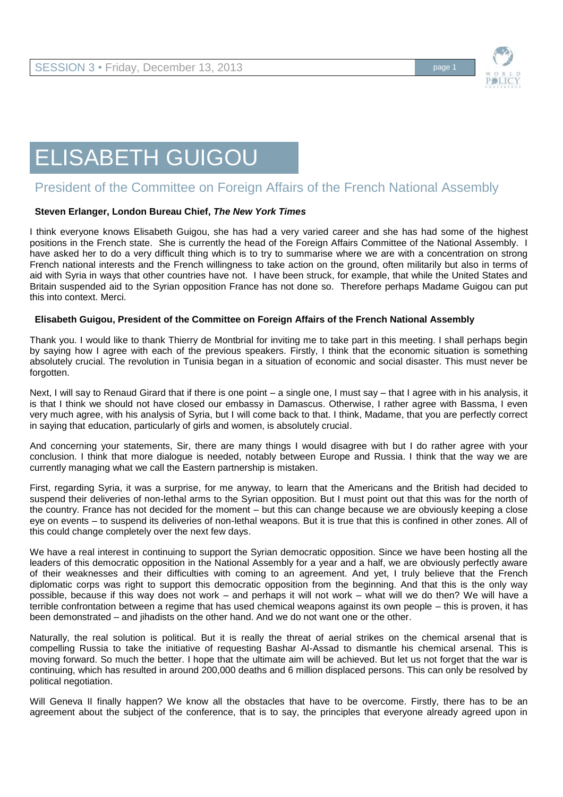

# ELISABETH GUIGOU

## President of the Committee on Foreign Affairs of the French National Assembly

#### **Steven Erlanger, London Bureau Chief,** *The New York Times*

I think everyone knows Elisabeth Guigou, she has had a very varied career and she has had some of the highest positions in the French state. She is currently the head of the Foreign Affairs Committee of the National Assembly. I have asked her to do a very difficult thing which is to try to summarise where we are with a concentration on strong French national interests and the French willingness to take action on the ground, often militarily but also in terms of aid with Syria in ways that other countries have not. I have been struck, for example, that while the United States and Britain suspended aid to the Syrian opposition France has not done so. Therefore perhaps Madame Guigou can put this into context. Merci.

#### **Elisabeth Guigou, President of the Committee on Foreign Affairs of the French National Assembly**

Thank you. I would like to thank Thierry de Montbrial for inviting me to take part in this meeting. I shall perhaps begin by saying how I agree with each of the previous speakers. Firstly, I think that the economic situation is something absolutely crucial. The revolution in Tunisia began in a situation of economic and social disaster. This must never be forgotten.

Next, I will say to Renaud Girard that if there is one point – a single one, I must say – that I agree with in his analysis, it is that I think we should not have closed our embassy in Damascus. Otherwise, I rather agree with Bassma, I even very much agree, with his analysis of Syria, but I will come back to that. I think, Madame, that you are perfectly correct in saying that education, particularly of girls and women, is absolutely crucial.

And concerning your statements, Sir, there are many things I would disagree with but I do rather agree with your conclusion. I think that more dialogue is needed, notably between Europe and Russia. I think that the way we are currently managing what we call the Eastern partnership is mistaken.

First, regarding Syria, it was a surprise, for me anyway, to learn that the Americans and the British had decided to suspend their deliveries of non-lethal arms to the Syrian opposition. But I must point out that this was for the north of the country. France has not decided for the moment – but this can change because we are obviously keeping a close eye on events – to suspend its deliveries of non-lethal weapons. But it is true that this is confined in other zones. All of this could change completely over the next few days.

We have a real interest in continuing to support the Syrian democratic opposition. Since we have been hosting all the leaders of this democratic opposition in the National Assembly for a year and a half, we are obviously perfectly aware of their weaknesses and their difficulties with coming to an agreement. And yet, I truly believe that the French diplomatic corps was right to support this democratic opposition from the beginning. And that this is the only way possible, because if this way does not work – and perhaps it will not work – what will we do then? We will have a terrible confrontation between a regime that has used chemical weapons against its own people – this is proven, it has been demonstrated – and jihadists on the other hand. And we do not want one or the other.

Naturally, the real solution is political. But it is really the threat of aerial strikes on the chemical arsenal that is compelling Russia to take the initiative of requesting Bashar Al-Assad to dismantle his chemical arsenal. This is moving forward. So much the better. I hope that the ultimate aim will be achieved. But let us not forget that the war is continuing, which has resulted in around 200,000 deaths and 6 million displaced persons. This can only be resolved by political negotiation.

Will Geneva II finally happen? We know all the obstacles that have to be overcome. Firstly, there has to be an agreement about the subject of the conference, that is to say, the principles that everyone already agreed upon in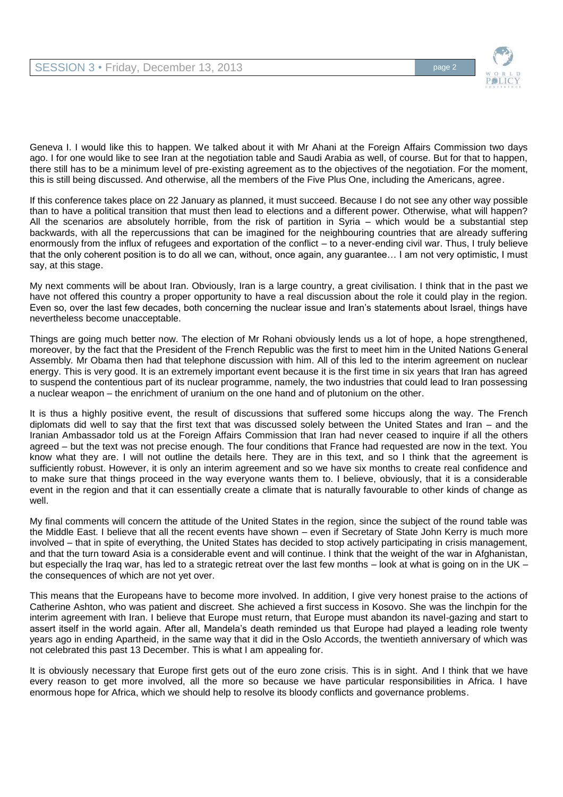

Geneva I. I would like this to happen. We talked about it with Mr Ahani at the Foreign Affairs Commission two days ago. I for one would like to see Iran at the negotiation table and Saudi Arabia as well, of course. But for that to happen, there still has to be a minimum level of pre-existing agreement as to the objectives of the negotiation. For the moment, this is still being discussed. And otherwise, all the members of the Five Plus One, including the Americans, agree.

If this conference takes place on 22 January as planned, it must succeed. Because I do not see any other way possible than to have a political transition that must then lead to elections and a different power. Otherwise, what will happen? All the scenarios are absolutely horrible, from the risk of partition in Syria – which would be a substantial step backwards, with all the repercussions that can be imagined for the neighbouring countries that are already suffering enormously from the influx of refugees and exportation of the conflict – to a never-ending civil war. Thus, I truly believe that the only coherent position is to do all we can, without, once again, any guarantee… I am not very optimistic, I must say, at this stage.

My next comments will be about Iran. Obviously, Iran is a large country, a great civilisation. I think that in the past we have not offered this country a proper opportunity to have a real discussion about the role it could play in the region. Even so, over the last few decades, both concerning the nuclear issue and Iran's statements about Israel, things have nevertheless become unacceptable.

Things are going much better now. The election of Mr Rohani obviously lends us a lot of hope, a hope strengthened, moreover, by the fact that the President of the French Republic was the first to meet him in the United Nations General Assembly. Mr Obama then had that telephone discussion with him. All of this led to the interim agreement on nuclear energy. This is very good. It is an extremely important event because it is the first time in six years that Iran has agreed to suspend the contentious part of its nuclear programme, namely, the two industries that could lead to Iran possessing a nuclear weapon – the enrichment of uranium on the one hand and of plutonium on the other.

It is thus a highly positive event, the result of discussions that suffered some hiccups along the way. The French diplomats did well to say that the first text that was discussed solely between the United States and Iran – and the Iranian Ambassador told us at the Foreign Affairs Commission that Iran had never ceased to inquire if all the others agreed – but the text was not precise enough. The four conditions that France had requested are now in the text. You know what they are. I will not outline the details here. They are in this text, and so I think that the agreement is sufficiently robust. However, it is only an interim agreement and so we have six months to create real confidence and to make sure that things proceed in the way everyone wants them to. I believe, obviously, that it is a considerable event in the region and that it can essentially create a climate that is naturally favourable to other kinds of change as well.

My final comments will concern the attitude of the United States in the region, since the subject of the round table was the Middle East. I believe that all the recent events have shown – even if Secretary of State John Kerry is much more involved – that in spite of everything, the United States has decided to stop actively participating in crisis management, and that the turn toward Asia is a considerable event and will continue. I think that the weight of the war in Afghanistan, but especially the Iraq war, has led to a strategic retreat over the last few months – look at what is going on in the UK – the consequences of which are not yet over.

This means that the Europeans have to become more involved. In addition, I give very honest praise to the actions of Catherine Ashton, who was patient and discreet. She achieved a first success in Kosovo. She was the linchpin for the interim agreement with Iran. I believe that Europe must return, that Europe must abandon its navel-gazing and start to assert itself in the world again. After all, Mandela's death reminded us that Europe had played a leading role twenty years ago in ending Apartheid, in the same way that it did in the Oslo Accords, the twentieth anniversary of which was not celebrated this past 13 December. This is what I am appealing for.

It is obviously necessary that Europe first gets out of the euro zone crisis. This is in sight. And I think that we have every reason to get more involved, all the more so because we have particular responsibilities in Africa. I have enormous hope for Africa, which we should help to resolve its bloody conflicts and governance problems.